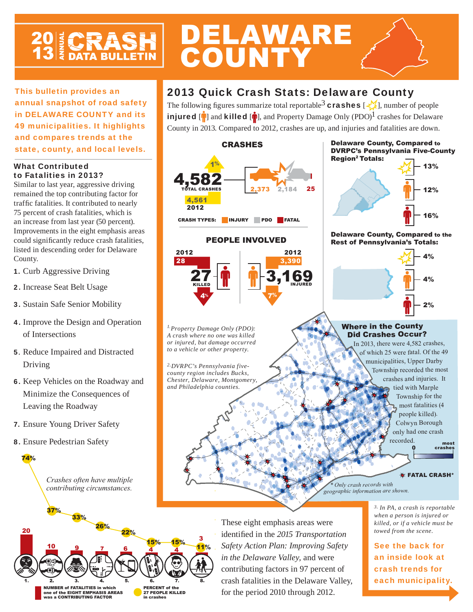# **20 ECRASH**

This bulletin provides an annual snapshot of road safety in DELAWARE COUNTY and its 49 municipalities. It highlights and compares trends at the

state, county, and local levels.

## What Contributed to Fatalities in 2013?

Similar to last year, aggressive driving remained the top contributing factor for traffic fatalities. It contributed to nearly 75 percent of crash fatalities, which is an increase from last year (50 percent). Improvements in the eight emphasis areas could significantly reduce crash fatalities, listed in descending order for Delaware County.

- 1. Curb Aggressive Driving
- 2. Increase Seat Belt Usage
- 3. Sustain Safe Senior Mobility
- 4. Improve the Design and Operation of Intersections
- 5. Reduce Impaired and Distracted Driving
- 6. Keep Vehicles on the Roadway and Minimize the Consequences of Leaving the Roadway
- 7. Ensure Young Driver Safety
- 8. Ensure Pedestrian Safety

74%



## 2013 Quick Crash Stats: Delaware County

DELAWARE

**COUNTY** 

The following figures summarize total reportable<sup>3</sup> crashes  $[\frac{1}{2}]$ , number of people injured  $[\hat{\mathbf{r}}]$  and killed  $[\hat{\mathbf{r}}]$ , and Property Damage Only (PDO)<sup>1</sup> crashes for Delaware County in 2013. Compared to 2012, crashes are up, and injuries and fatalities are down.



PEOPLE INVOLVED

## DVRPC's Pennsylvania Five-County **Region<sup>2</sup> Totals:** 13%

Delaware County, Compared to



#### Delaware County, Compared to the Rest of Pennsylvania's Totals:



*\* Only crash records with geographic information are shown.*

> *3. In PA, a crash is reportable when a person is injured or killed, or if a vehicle must be towed from the scene.*

most

See the back for an inside look at crash trends for each municipality.

20 10 9 7 6 4 3 <u>9 7 6 4 4</u> NUMBER of FATALITIES in which one of the EIGHT EMPHASIS AREAS was a CONTRIBUTING FACTOR PERCENT of the 27 PEOPLE KILLED in crashes 37% 22% 26% 15% 11% 33% 15% 8.

These eight emphasis areas were identified in the 2015 Transportation *Safety Action Plan: Improving Safety in the Delaware Valley,* and were contributing factors in 97 percent of crash fatalities in the Delaware Valley, for the period 2010 through 2012.